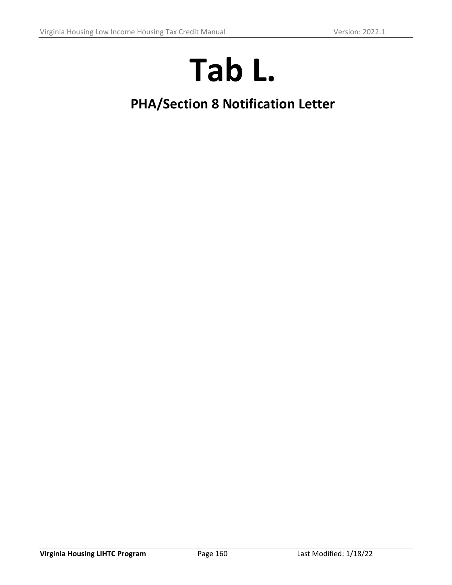# **Tab L.**

## **PHA/Section 8 Notification Letter**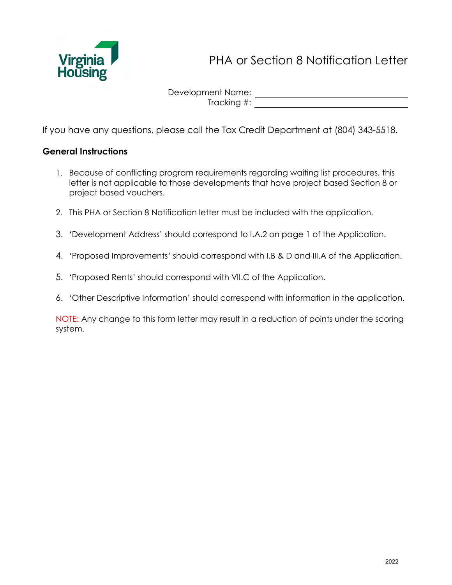

PHA or Section 8 Notification Letter

Development Name: Tracking #: University of the state of the state of the state of the state of the state of the state of the state of the state of the state of the state of the state of the state of the state of the state of the state of t

If you have any questions, please call the Tax Credit Department at (804) 343-5518.

#### **General Instructions**

- 1. Because of conflicting program requirements regarding waiting list procedures, this letter is not applicable to those developments that have project based Section 8 or project based vouchers.
- 2. This PHA or Section 8 Notification letter must be included with the application.
- 3. 'Development Address' should correspond to I.A.2 on page 1 of the Application.
- 4. 'Proposed Improvements' should correspond with I.B & D and III.A of the Application.
- 5. 'Proposed Rents' should correspond with VII.C of the Application.
- 6. 'Other Descriptive Information' should correspond with information in the application.

NOTE: Any change to this form letter may result in a reduction of points under the scoring system.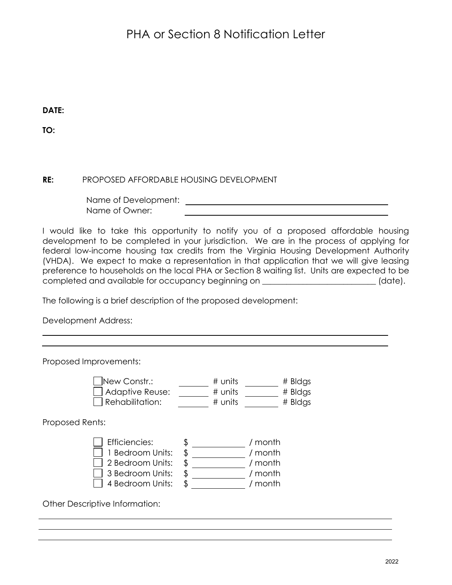### PHA or Section 8 Notification Letter

**DATE:** 

**TO:**

#### **RE:** PROPOSED AFFORDABLE HOUSING DEVELOPMENT

Name of Development: Name of Owner:

I would like to take this opportunity to notify you of a proposed affordable housing development to be completed in your jurisdiction. We are in the process of applying for federal low-income housing tax credits from the Virginia Housing Development Authority (VHDA). We expect to make a representation in that application that we will give leasing preference to households on the local PHA or Section 8 waiting list. Units are expected to be completed and available for occupancy beginning on \_\_\_\_\_\_\_\_\_\_\_\_\_\_\_\_\_\_\_\_\_\_\_\_\_\_\_\_ (date).

The following is a brief description of the proposed development:

Development Address:

Proposed Improvements:  $\frac{1}{2}$ New Constr.:  $\frac{1}{2}$   $\frac{1}{2}$   $\frac{1}{2}$   $\frac{1}{2}$   $\frac{1}{2}$   $\frac{1}{2}$   $\frac{1}{2}$   $\frac{1}{2}$   $\frac{1}{2}$   $\frac{1}{2}$   $\frac{1}{2}$   $\frac{1}{2}$   $\frac{1}{2}$   $\frac{1}{2}$   $\frac{1}{2}$   $\frac{1}{2}$   $\frac{1}{2}$   $\frac{1}{2}$   $\frac{1}{2}$   $\frac{1}{2}$  $\Box$  Adaptive Reuse:  $\overline{\qquad \qquad }$  # units  $\overline{\qquad \qquad }$  # Bldgs  $\Box$  Rehabilitation:  $\overline{\qquad}$  # units  $\overline{\qquad}$  # Bldgs Proposed Rents: Efficiencies: \$ / month 1 Bedroom Units: \$ / month  $\Box$  2 Bedroom Units:  $\sin \frac{2\pi x}{3}$  / month 3 Bedroom Units: \$ / month  $\overline{\Box}$  4 Bedroom Units:  $\sqrt[5]{\phantom{0}}$  / month

Other Descriptive Information: